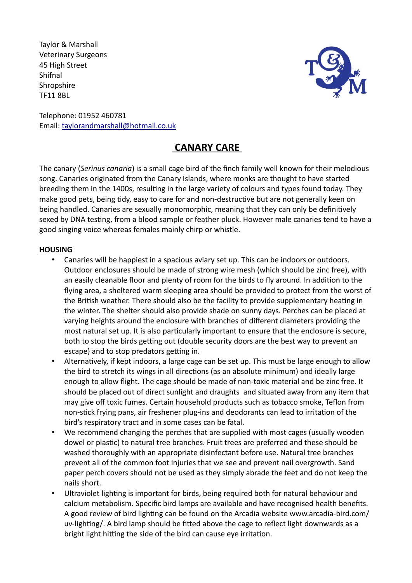Taylor & Marshall Veterinary Surgeons 45 High Street Shifnal **Shropshire** TF11 8BL



Telephone: 01952 460781 Email: taylorandmarshall@hotmail.co.uk

# **CANARY CARE**

The canary (*Serinus canaria*) is a small cage bird of the finch family well known for their melodious song. Canaries originated from the Canary Islands, where monks are thought to have started breeding them in the 1400s, resulting in the large variety of colours and types found today. They make good pets, being tidy, easy to care for and non-destructive but are not generally keen on being handled. Canaries are sexually monomorphic, meaning that they can only be definitively sexed by DNA testing, from a blood sample or feather pluck. However male canaries tend to have a good singing voice whereas females mainly chirp or whistle.

## **HOUSING**

- Canaries will be happiest in a spacious aviary set up. This can be indoors or outdoors. Outdoor enclosures should be made of strong wire mesh (which should be zinc free), with an easily cleanable floor and plenty of room for the birds to fly around. In addition to the flying area, a sheltered warm sleeping area should be provided to protect from the worst of the British weather. There should also be the facility to provide supplementary heating in the winter. The shelter should also provide shade on sunny days. Perches can be placed at varying heights around the enclosure with branches of different diameters providing the most natural set up. It is also particularly important to ensure that the enclosure is secure, both to stop the birds getting out (double security doors are the best way to prevent an escape) and to stop predators getting in.
- Alternatively, if kept indoors, a large cage can be set up. This must be large enough to allow the bird to stretch its wings in all directions (as an absolute minimum) and ideally large enough to allow flight. The cage should be made of non-toxic material and be zinc free. It should be placed out of direct sunlight and draughts and situated away from any item that may give off toxic fumes. Certain household products such as tobacco smoke, Teflon from non-stick frying pans, air freshener plug-ins and deodorants can lead to irritation of the bird's respiratory tract and in some cases can be fatal.
- We recommend changing the perches that are supplied with most cages (usually wooden dowel or plastic) to natural tree branches. Fruit trees are preferred and these should be washed thoroughly with an appropriate disinfectant before use. Natural tree branches prevent all of the common foot injuries that we see and prevent nail overgrowth. Sand paper perch covers should not be used as they simply abrade the feet and do not keep the nails short.
- Ultraviolet lighting is important for birds, being required both for natural behaviour and calcium metabolism. Specific bird lamps are available and have recognised health benefits. A good review of bird lighting can be found on the Arcadia website www.arcadia-bird.com/ uv-lighting/. A bird lamp should be fitted above the cage to reflect light downwards as a bright light hitting the side of the bird can cause eye irritation.